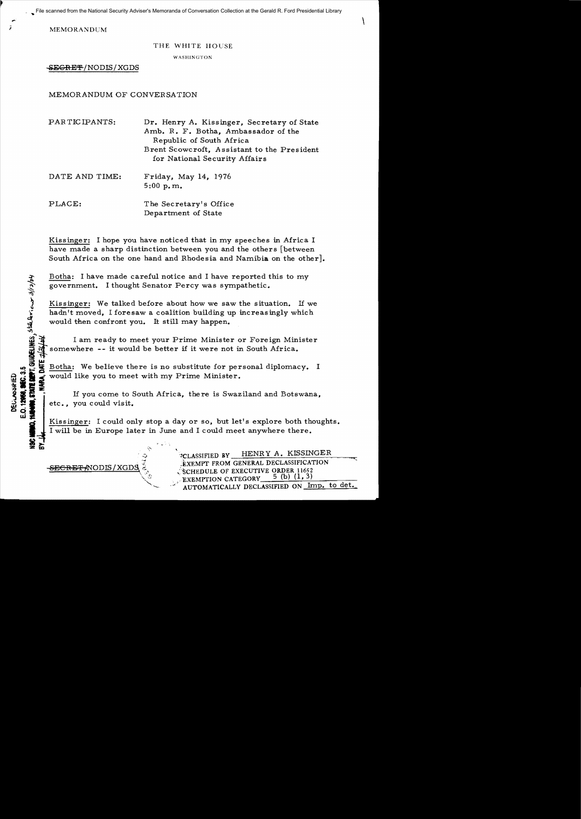· ... File scanned from the National Security Adviser's Memoranda of Conversation Collection at the Gerald R. Ford Presidential Library

 $\sum_{i=1}^{n}$  MEMORANDUM

### THE WHITE HOUSE

WASHINGTON

~EGRE'7l /NODIS/XGDS

# MEMORANDUM OF CONVERSATION

| PARTICIPANTS:  | Dr. Henry A. Kissinger, Secretary of State<br>Amb. R. F. Botha, Ambassador of the<br>Republic of South Africa |
|----------------|---------------------------------------------------------------------------------------------------------------|
|                | Brent Scowcroft, Assistant to the President<br>for National Security Affairs                                  |
| DATE AND TIME: | Friday, May 14, 1976<br>5:00 p.m.                                                                             |
| PLACE:         | The Secretary's Office<br>Department of State                                                                 |

Kissinger: I hope you have noticed that in my speeches in Africa I have made a sharp distinction between you and the others [between South Africa on the one hand and Rhodesia and Namibia on the other].

Botha: I have made careful notice and I have reported this to my government. I thought Senator Percy was sympathetic.

Kissinger: We talked before about how we saw the situation. If we hadn't moved, I foresaw a coalition building up increasingly which would then confront you. It still may happen.

I am ready to meet your Prime Minister or Foreign Minister somewhere -- it would be better if it were not in South Africa.

Botha: We believe there is no substitute for personal diplomacy. I<br>would like you to meet with my Prime Minister.<br>\*

or: if you to meet with my Prime Minister.<br>  $\frac{1}{2}$ <br>  $\frac{1}{2}$ <br>  $\frac{1}{2}$ <br>  $\frac{1}{2}$ <br>  $\frac{1}{2}$ <br>  $\frac{1}{2}$  etc., you could visit.<br>  $\frac{1}{2}$ If you come to South Africa, there is Swaziland and Botswana. etc., you could visit.

I Kissinger: I could only stop a day or so, but let's explore both thoughts.<br>I will be in Europe later in June and I could meet anywhere there. I will be in Europe later in June and I could meet anywhere there.

> '~CLASSIFIED BY HENRY A. KISSINGER :EXEMPT FROM GENERAL DECLASSIFICATION SCHEDULE OF EXECUTIVE ORDER 11652 EXEMPTION CATEGORY AUTOMATICALLY DECLASSIFIED ON Imp. to det.

<del>SECRET (</del>NODIS / XGDS

STATE DENT. GUIDELINES, STALANIOUS 3/12/04

q w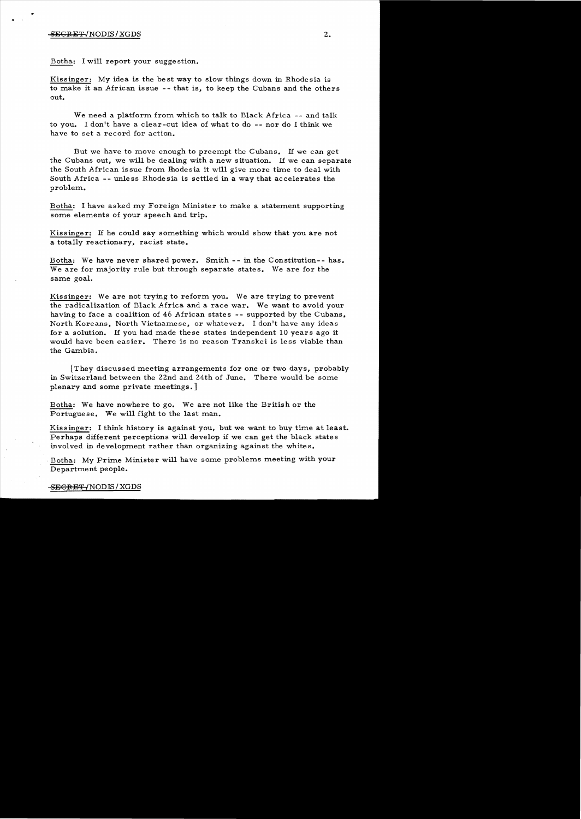### $-$ <del>SEGRET</del>/NODIS/XGDS  $-$  2.

.. . .

Botha: I will report your sugge stion.

Kissinger: My idea is the best way to slow things down in Rhodesia is to make it an African issue -- that is, to keep the Cubans and the others out.

We need a platform. from. which to talk to Black Africa **--** and talk to you. I don't have a clear-cut idea of what to do **--** nor do I think we have to set a record for action.

But we have to move enough to preempt the Cubans. If we can get the Cubans out, we will be dealing with a new situation. If we can separate the South African is sue from Rhode sia it will give more time to deal with South Africa **--** unless Rhodesia is settled in a way that accelerates the problem..

Botha: I have asked my Foreign Minister to make a statement supporting some elements of your speech and trip.

Kissinger: If he could say something which would show that you are not a totally reactionary, racist state.

Botha: We have never shared power. Smith -- in the Constitution-- has. We are for majority rule but through separate states. We are for the same goal.

Kissinger: We are not trying to reform you. We are trying to prevent the radicalization of Black Africa and a race war. We want to avoid your having to face a coalition of 46 African states **--** supported by the Cubans, North Koreans, North Vietnamese, or whatever. I don't have any ideas for a solution. If you had made these states independent  $10$  years ago it would have been easier. There is no reason Transkei is less viable than the Gambia.

They discussed meeting arrangements for one or two days, probably in Switzerland between the 22nd and 24th of June. There would be some plenary and some private meetings.]

Botha: We have nowhere to go. We are not like the British or the Portuguese. We will fight to the last man.

Kissinger: I think history is against you, but we want to buy time at least. Perhaps different perceptions will develop if we can get the black states involved in development rather than organizing against the whites.

Botha: My Prime Minister will have some problems meeting with your Department people.

## -SE<del>GRET/</del> NODIS/XGDS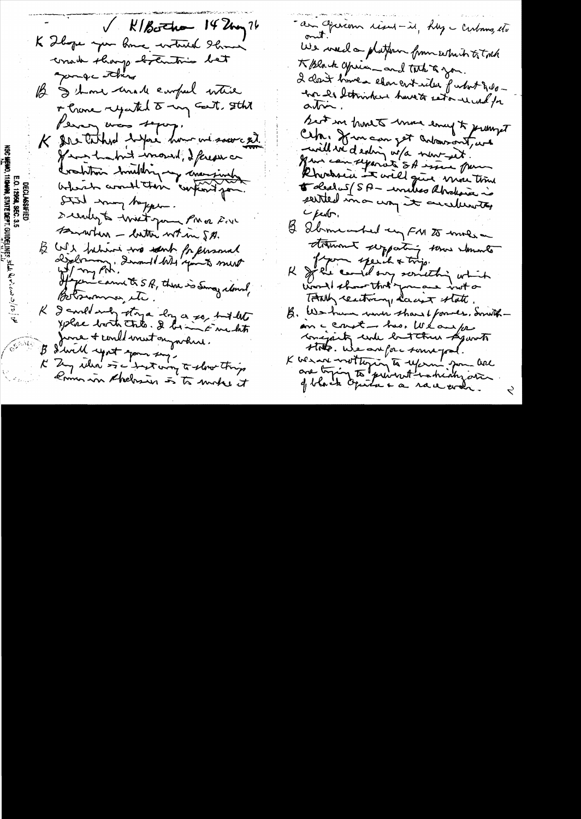- V KIBothan 14 Um 76 K Thomas your home withered Showing would sharp betwitting bet pompe ithing B I show unall emped intere of Crone rejected to my Gent, Ith Perry was sepay. K Ine taked where how we sawced If we hadn't wround, I ferese on Crahton huilding my concernation beheart avout their confinit pour. Still may before. seenly to writing PM a Rove Bratten - latter when S.A. B WI behind the world for formal If permis and the S.R. there is Sing along Belsimmer etc. I could not they a long a so, but the  $\mathcal{K}^$ yplac both this. I being Enchit June + could most ougarture. B I will upont your sing. K Zy when is a treat wing to slow things komme in thebrien is to make it

- am Operconn risent - it, hly - Cubans, etc We wand a platform from eitherto total K Block your and tack to you. 2 clair times element idee patritiques mor les letrointens havets seton record for best in home to more ency to premient Ceh. from can get antonnomet, and -will we denting w/a new-wit. Hun can separate SA issue pour Rhocksen in will give more time 5 deed 5 (SA - united abrokance is seited in a way it anelievety C fester. B Sbrmearhed un FN 25 moles stamment supporting some abounts K Je could our something which word there that' you are inst or TANK reactiony days state B. We have went shows I former, don't in an a court - has We and for conspirity under but three Agunsts Hote. We arefore some pal. K we are writtening to use in man here